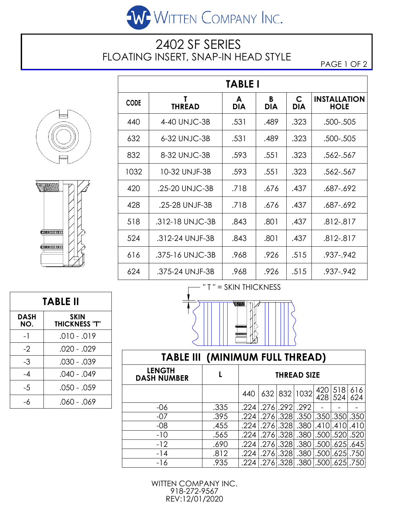

## 2402 SF SERIES FLOATING INSERT, SNAP-IN HEAD STYLE

PAGE 1 OF 2





| <b>TABLE I</b> |                    |                 |                                               |      |                                    |  |  |  |  |  |  |
|----------------|--------------------|-----------------|-----------------------------------------------|------|------------------------------------|--|--|--|--|--|--|
| <b>CODE</b>    | Τ<br><b>THREAD</b> | A<br><b>DIA</b> | $\mathsf{C}$<br>B<br><b>DIA</b><br><b>DIA</b> |      | <b>INSTALLATION</b><br><b>HOLE</b> |  |  |  |  |  |  |
| 440            | 4-40 UNJC-3B       | .531            | .489                                          | .323 | .500-.505                          |  |  |  |  |  |  |
| 632            | 6-32 UNJC-3B       | .531            | .489                                          | .323 | .500-.505                          |  |  |  |  |  |  |
| 832            | 8-32 UNJC-3B       | .593            | .551                                          | .323 | .562-.567                          |  |  |  |  |  |  |
| 1032           | 10-32 UNJF-3B      | .593            | .551                                          | .323 | .562-.567                          |  |  |  |  |  |  |
| 420            | .25-20 UNJC-3B     | .718            | .676                                          | .437 | .687-.692                          |  |  |  |  |  |  |
| 428            | .25-28 UNJF-3B     | .718            | .676                                          | .437 | .687-.692                          |  |  |  |  |  |  |
| 518            | .312-18 UNJC-3B    | .843            | .801                                          | .437 | .812-.817                          |  |  |  |  |  |  |
| 524            | .312-24 UNJF-3B    | .843            | .801                                          | .437 | .812-.817                          |  |  |  |  |  |  |
| 616            | .375-16 UNJC-3B    | .968            | .926                                          | .515 | .937-.942                          |  |  |  |  |  |  |
| 624            | .375-24 UNJF-3B    | .968            | .926                                          | .515 | .937-.942                          |  |  |  |  |  |  |

**TABLE II DASH NO. SKIN THICKNESS "T"**  $-1$  .010 - .019  $-2$  .020 - .029  $-3$  .030 - 039  $-4$  .040 - .049  $-5$  .050 - 059  $-6$  .060 - .069



| <b>TABLE III (MINIMUM FULL THREAD)</b> |      |                    |  |  |                                                |            |            |            |  |  |  |  |
|----------------------------------------|------|--------------------|--|--|------------------------------------------------|------------|------------|------------|--|--|--|--|
| <b>LENGTH</b><br><b>DASH NUMBER</b>    |      | <b>THREAD SIZE</b> |  |  |                                                |            |            |            |  |  |  |  |
|                                        |      | 440                |  |  | 632 832 1032                                   | 420<br>428 | 518<br>524 | 616<br>624 |  |  |  |  |
| -06                                    | .335 |                    |  |  | .292 .292 .276 .274                            |            |            |            |  |  |  |  |
| $-07$                                  | .395 | .224               |  |  | .276 .328 .350 .350 .350 .350                  |            |            |            |  |  |  |  |
| $-08$                                  | .455 | ا 224.             |  |  | .276.328 .380 .410 .410 .410                   |            |            |            |  |  |  |  |
| $-10$                                  | .565 |                    |  |  | .224 .276 .328 .380 .500 .520 .520             |            |            |            |  |  |  |  |
| $-12$                                  | .690 | ا 224.             |  |  | .276 .328 .380 .500 .625 .645                  |            |            |            |  |  |  |  |
| $-14$                                  | .812 | ا 224.             |  |  | .276 .328 .380 .500 .625 .750                  |            |            |            |  |  |  |  |
| -16                                    | .935 |                    |  |  | .224   .276   .328   .380   .500   .625   .750 |            |            |            |  |  |  |  |

WITTEN COMPANY INC. 918-272-9567 REV:12/01/2020